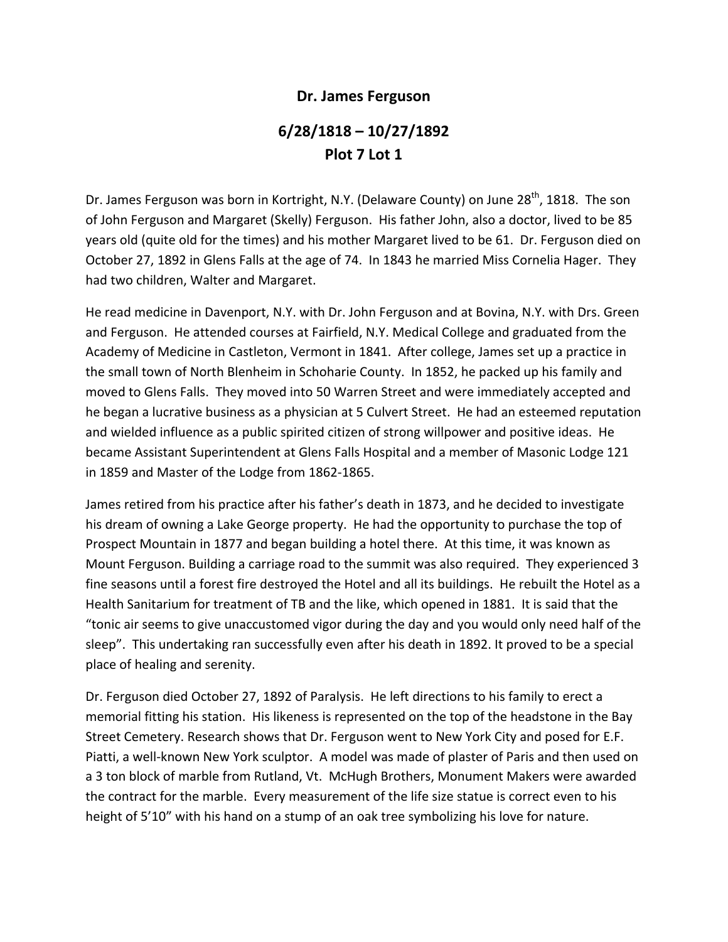## **Dr. James Ferguson**

## **6/28/1818 – 10/27/1892 Plot 7 Lot 1**

Dr. James Ferguson was born in Kortright, N.Y. (Delaware County) on June 28<sup>th</sup>, 1818. The son of John Ferguson and Margaret (Skelly) Ferguson. His father John, also a doctor, lived to be 85 years old (quite old for the times) and his mother Margaret lived to be 61. Dr. Ferguson died on October 27, 1892 in Glens Falls at the age of 74. In 1843 he married Miss Cornelia Hager. They had two children, Walter and Margaret.

He read medicine in Davenport, N.Y. with Dr. John Ferguson and at Bovina, N.Y. with Drs. Green and Ferguson. He attended courses at Fairfield, N.Y. Medical College and graduated from the Academy of Medicine in Castleton, Vermont in 1841. After college, James set up a practice in the small town of North Blenheim in Schoharie County. In 1852, he packed up his family and moved to Glens Falls. They moved into 50 Warren Street and were immediately accepted and he began a lucrative business as a physician at 5 Culvert Street. He had an esteemed reputation and wielded influence as a public spirited citizen of strong willpower and positive ideas. He became Assistant Superintendent at Glens Falls Hospital and a member of Masonic Lodge 121 in 1859 and Master of the Lodge from 1862‐1865.

James retired from his practice after his father's death in 1873, and he decided to investigate his dream of owning a Lake George property. He had the opportunity to purchase the top of Prospect Mountain in 1877 and began building a hotel there. At this time, it was known as Mount Ferguson. Building a carriage road to the summit was also required. They experienced 3 fine seasons until a forest fire destroyed the Hotel and all its buildings. He rebuilt the Hotel as a Health Sanitarium for treatment of TB and the like, which opened in 1881. It is said that the "tonic air seems to give unaccustomed vigor during the day and you would only need half of the sleep". This undertaking ran successfully even after his death in 1892. It proved to be a special place of healing and serenity.

Dr. Ferguson died October 27, 1892 of Paralysis. He left directions to his family to erect a memorial fitting his station. His likeness is represented on the top of the headstone in the Bay Street Cemetery. Research shows that Dr. Ferguson went to New York City and posed for E.F. Piatti, a well‐known New York sculptor. A model was made of plaster of Paris and then used on a 3 ton block of marble from Rutland, Vt. McHugh Brothers, Monument Makers were awarded the contract for the marble. Every measurement of the life size statue is correct even to his height of 5'10" with his hand on a stump of an oak tree symbolizing his love for nature.